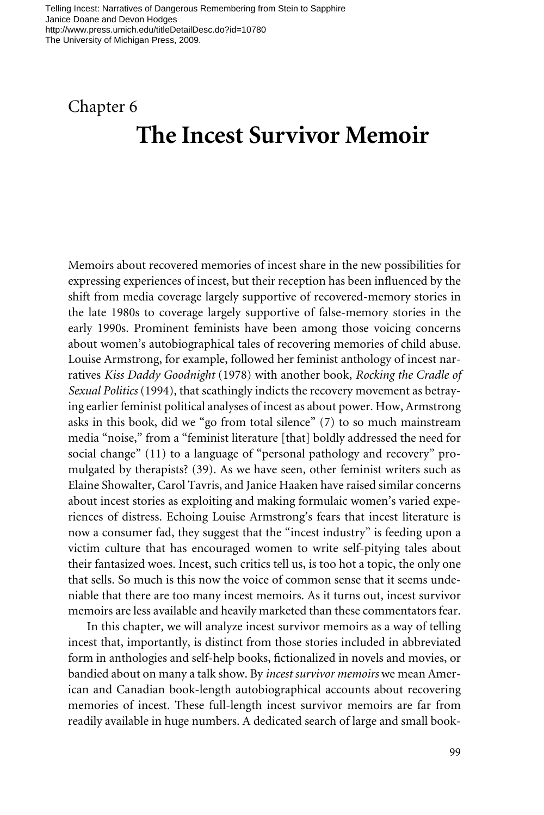## Chapter 6 **The Incest Survivor Memoir**

Memoirs about recovered memories of incest share in the new possibilities for expressing experiences of incest, but their reception has been influenced by the shift from media coverage largely supportive of recovered-memory stories in the late 1980s to coverage largely supportive of false-memory stories in the early 1990s. Prominent feminists have been among those voicing concerns about women's autobiographical tales of recovering memories of child abuse. Louise Armstrong, for example, followed her feminist anthology of incest narratives *Kiss Daddy Goodnight* (1978) with another book, *Rocking the Cradle of Sexual Politics* (1994), that scathingly indicts the recovery movement as betraying earlier feminist political analyses of incest as about power. How, Armstrong asks in this book, did we "go from total silence" (7) to so much mainstream media "noise," from a "feminist literature [that] boldly addressed the need for social change" (11) to a language of "personal pathology and recovery" promulgated by therapists? (39). As we have seen, other feminist writers such as Elaine Showalter, Carol Tavris, and Janice Haaken have raised similar concerns about incest stories as exploiting and making formulaic women's varied experiences of distress. Echoing Louise Armstrong's fears that incest literature is now a consumer fad, they suggest that the "incest industry" is feeding upon a victim culture that has encouraged women to write self-pitying tales about their fantasized woes. Incest, such critics tell us, is too hot a topic, the only one that sells. So much is this now the voice of common sense that it seems undeniable that there are too many incest memoirs. As it turns out, incest survivor memoirs are less available and heavily marketed than these commentators fear.

In this chapter, we will analyze incest survivor memoirs as a way of telling incest that, importantly, is distinct from those stories included in abbreviated form in anthologies and self-help books, fictionalized in novels and movies, or bandied about on many a talk show. By *incest survivor memoirs* we mean American and Canadian book-length autobiographical accounts about recovering memories of incest. These full-length incest survivor memoirs are far from readily available in huge numbers. A dedicated search of large and small book-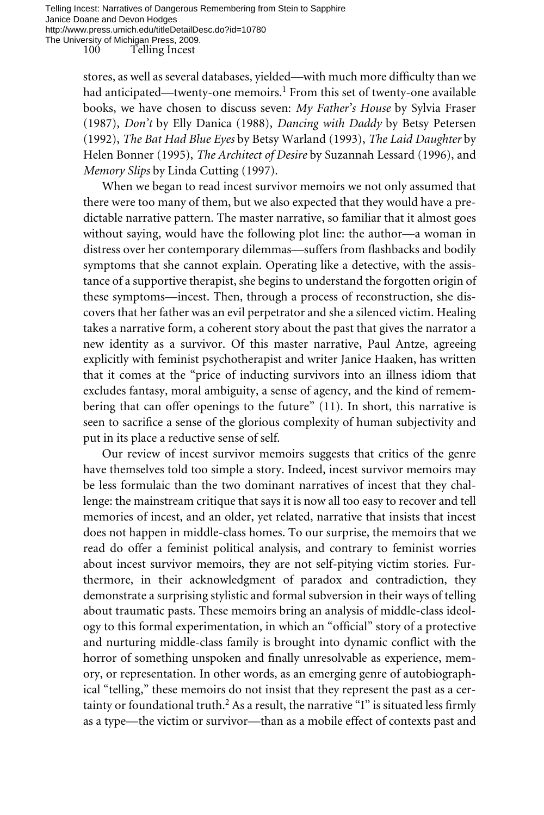100 Telling Incest Telling Incest: Narratives of Dangerous Remembering from Stein to Sapphire Janice Doane and Devon Hodges http://www.press.umich.edu/titleDetailDesc.do?id=10780 The University of Michigan Press, 2009.

> stores, as well as several databases, yielded—with much more difficulty than we had anticipated—twenty-one memoirs.<sup>1</sup> From this set of twenty-one available books, we have chosen to discuss seven: *My Father's House* by Sylvia Fraser (1987), *Don't* by Elly Danica (1988), *Dancing with Daddy* by Betsy Petersen (1992), *The Bat Had Blue Eyes* by Betsy Warland (1993), *The Laid Daughter* by Helen Bonner (1995), *The Architect of Desire* by Suzannah Lessard (1996), and *Memory Slips* by Linda Cutting (1997).

> When we began to read incest survivor memoirs we not only assumed that there were too many of them, but we also expected that they would have a predictable narrative pattern. The master narrative, so familiar that it almost goes without saying, would have the following plot line: the author—a woman in distress over her contemporary dilemmas—suffers from flashbacks and bodily symptoms that she cannot explain. Operating like a detective, with the assistance of a supportive therapist, she begins to understand the forgotten origin of these symptoms—incest. Then, through a process of reconstruction, she discovers that her father was an evil perpetrator and she a silenced victim. Healing takes a narrative form, a coherent story about the past that gives the narrator a new identity as a survivor. Of this master narrative, Paul Antze, agreeing explicitly with feminist psychotherapist and writer Janice Haaken, has written that it comes at the "price of inducting survivors into an illness idiom that excludes fantasy, moral ambiguity, a sense of agency, and the kind of remembering that can offer openings to the future" (11). In short, this narrative is seen to sacrifice a sense of the glorious complexity of human subjectivity and put in its place a reductive sense of self.

> Our review of incest survivor memoirs suggests that critics of the genre have themselves told too simple a story. Indeed, incest survivor memoirs may be less formulaic than the two dominant narratives of incest that they challenge: the mainstream critique that says it is now all too easy to recover and tell memories of incest, and an older, yet related, narrative that insists that incest does not happen in middle-class homes. To our surprise, the memoirs that we read do offer a feminist political analysis, and contrary to feminist worries about incest survivor memoirs, they are not self-pitying victim stories. Furthermore, in their acknowledgment of paradox and contradiction, they demonstrate a surprising stylistic and formal subversion in their ways of telling about traumatic pasts. These memoirs bring an analysis of middle-class ideology to this formal experimentation, in which an "official" story of a protective and nurturing middle-class family is brought into dynamic conflict with the horror of something unspoken and finally unresolvable as experience, memory, or representation. In other words, as an emerging genre of autobiographical "telling," these memoirs do not insist that they represent the past as a certainty or foundational truth.<sup>2</sup> As a result, the narrative "I" is situated less firmly as a type—the victim or survivor—than as a mobile effect of contexts past and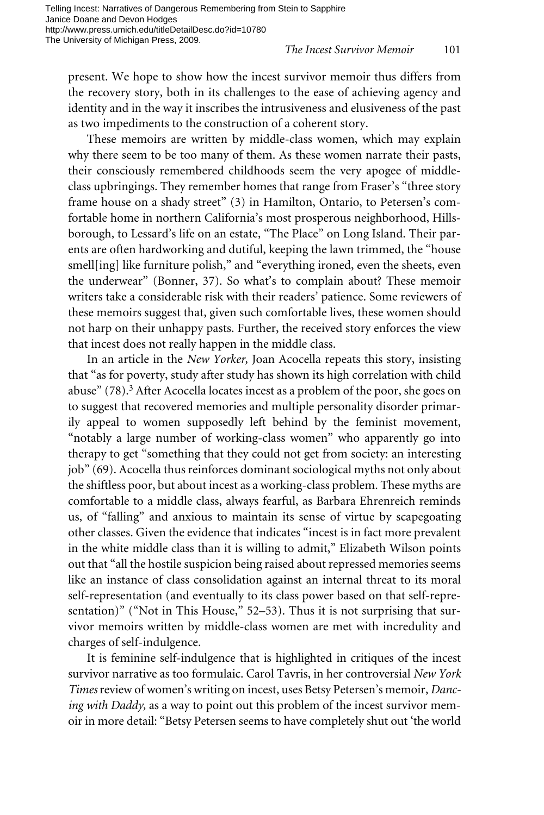Telling Incest: Narratives of Dangerous Remembering from Stein to Sapphire Janice Doane and Devon Hodges http://www.press.umich.edu/titleDetailDesc.do?id=10780 The University of Michigan Press, 2009.

## *The Incest Survivor Memoir* 101

present. We hope to show how the incest survivor memoir thus differs from the recovery story, both in its challenges to the ease of achieving agency and identity and in the way it inscribes the intrusiveness and elusiveness of the past as two impediments to the construction of a coherent story.

These memoirs are written by middle-class women, which may explain why there seem to be too many of them. As these women narrate their pasts, their consciously remembered childhoods seem the very apogee of middleclass upbringings. They remember homes that range from Fraser's "three story frame house on a shady street" (3) in Hamilton, Ontario, to Petersen's comfortable home in northern California's most prosperous neighborhood, Hillsborough, to Lessard's life on an estate, "The Place" on Long Island. Their parents are often hardworking and dutiful, keeping the lawn trimmed, the "house smell[ing] like furniture polish," and "everything ironed, even the sheets, even the underwear" (Bonner, 37). So what's to complain about? These memoir writers take a considerable risk with their readers' patience. Some reviewers of these memoirs suggest that, given such comfortable lives, these women should not harp on their unhappy pasts. Further, the received story enforces the view that incest does not really happen in the middle class.

In an article in the *New Yorker,* Joan Acocella repeats this story, insisting that "as for poverty, study after study has shown its high correlation with child abuse" (78).<sup>3</sup> After Acocella locates incest as a problem of the poor, she goes on to suggest that recovered memories and multiple personality disorder primarily appeal to women supposedly left behind by the feminist movement, "notably a large number of working-class women" who apparently go into therapy to get "something that they could not get from society: an interesting job" (69). Acocella thus reinforces dominant sociological myths not only about the shiftless poor, but about incest as a working-class problem. These myths are comfortable to a middle class, always fearful, as Barbara Ehrenreich reminds us, of "falling" and anxious to maintain its sense of virtue by scapegoating other classes. Given the evidence that indicates "incest is in fact more prevalent in the white middle class than it is willing to admit," Elizabeth Wilson points out that "all the hostile suspicion being raised about repressed memories seems like an instance of class consolidation against an internal threat to its moral self-representation (and eventually to its class power based on that self-representation)" ("Not in This House," 52–53). Thus it is not surprising that survivor memoirs written by middle-class women are met with incredulity and charges of self-indulgence.

It is feminine self-indulgence that is highlighted in critiques of the incest survivor narrative as too formulaic. Carol Tavris, in her controversial *New York Times*review of women's writing on incest, uses Betsy Petersen's memoir, *Dancing with Daddy,* as a way to point out this problem of the incest survivor memoir in more detail: "Betsy Petersen seems to have completely shut out 'the world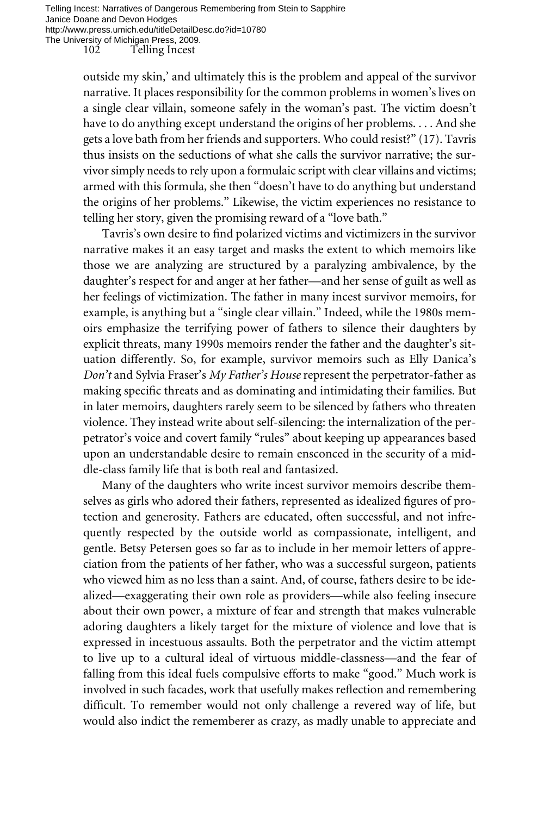outside my skin,' and ultimately this is the problem and appeal of the survivor narrative. It places responsibility for the common problems in women's lives on a single clear villain, someone safely in the woman's past. The victim doesn't have to do anything except understand the origins of her problems. . . . And she gets a love bath from her friends and supporters. Who could resist?" (17). Tavris thus insists on the seductions of what she calls the survivor narrative; the survivor simply needs to rely upon a formulaic script with clear villains and victims; armed with this formula, she then "doesn't have to do anything but understand the origins of her problems." Likewise, the victim experiences no resistance to telling her story, given the promising reward of a "love bath."

Tavris's own desire to find polarized victims and victimizers in the survivor narrative makes it an easy target and masks the extent to which memoirs like those we are analyzing are structured by a paralyzing ambivalence, by the daughter's respect for and anger at her father—and her sense of guilt as well as her feelings of victimization. The father in many incest survivor memoirs, for example, is anything but a "single clear villain." Indeed, while the 1980s memoirs emphasize the terrifying power of fathers to silence their daughters by explicit threats, many 1990s memoirs render the father and the daughter's situation differently. So, for example, survivor memoirs such as Elly Danica's *Don't* and Sylvia Fraser's *My Father's House* represent the perpetrator-father as making specific threats and as dominating and intimidating their families. But in later memoirs, daughters rarely seem to be silenced by fathers who threaten violence. They instead write about self-silencing: the internalization of the perpetrator's voice and covert family "rules" about keeping up appearances based upon an understandable desire to remain ensconced in the security of a middle-class family life that is both real and fantasized.

Many of the daughters who write incest survivor memoirs describe themselves as girls who adored their fathers, represented as idealized figures of protection and generosity. Fathers are educated, often successful, and not infrequently respected by the outside world as compassionate, intelligent, and gentle. Betsy Petersen goes so far as to include in her memoir letters of appreciation from the patients of her father, who was a successful surgeon, patients who viewed him as no less than a saint. And, of course, fathers desire to be idealized—exaggerating their own role as providers—while also feeling insecure about their own power, a mixture of fear and strength that makes vulnerable adoring daughters a likely target for the mixture of violence and love that is expressed in incestuous assaults. Both the perpetrator and the victim attempt to live up to a cultural ideal of virtuous middle-classness—and the fear of falling from this ideal fuels compulsive efforts to make "good." Much work is involved in such facades, work that usefully makes reflection and remembering difficult. To remember would not only challenge a revered way of life, but would also indict the rememberer as crazy, as madly unable to appreciate and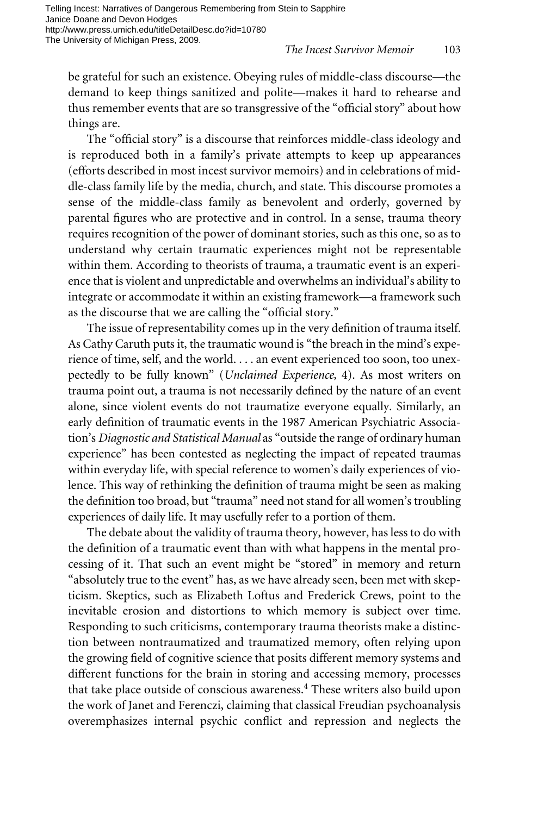be grateful for such an existence. Obeying rules of middle-class discourse—the demand to keep things sanitized and polite—makes it hard to rehearse and thus remember events that are so transgressive of the "official story" about how things are.

The "official story" is a discourse that reinforces middle-class ideology and is reproduced both in a family's private attempts to keep up appearances (efforts described in most incest survivor memoirs) and in celebrations of middle-class family life by the media, church, and state. This discourse promotes a sense of the middle-class family as benevolent and orderly, governed by parental figures who are protective and in control. In a sense, trauma theory requires recognition of the power of dominant stories, such as this one, so as to understand why certain traumatic experiences might not be representable within them. According to theorists of trauma, a traumatic event is an experience that is violent and unpredictable and overwhelms an individual's ability to integrate or accommodate it within an existing framework—a framework such as the discourse that we are calling the "official story."

The issue of representability comes up in the very definition of trauma itself. As Cathy Caruth puts it, the traumatic wound is "the breach in the mind's experience of time, self, and the world. . . . an event experienced too soon, too unexpectedly to be fully known" (*Unclaimed Experience,* 4). As most writers on trauma point out, a trauma is not necessarily defined by the nature of an event alone, since violent events do not traumatize everyone equally. Similarly, an early definition of traumatic events in the 1987 American Psychiatric Association's *Diagnostic and Statistical Manual* as "outside the range of ordinary human experience" has been contested as neglecting the impact of repeated traumas within everyday life, with special reference to women's daily experiences of violence. This way of rethinking the definition of trauma might be seen as making the definition too broad, but "trauma" need not stand for all women's troubling experiences of daily life. It may usefully refer to a portion of them.

The debate about the validity of trauma theory, however, has less to do with the definition of a traumatic event than with what happens in the mental processing of it. That such an event might be "stored" in memory and return "absolutely true to the event" has, as we have already seen, been met with skepticism. Skeptics, such as Elizabeth Loftus and Frederick Crews, point to the inevitable erosion and distortions to which memory is subject over time. Responding to such criticisms, contemporary trauma theorists make a distinction between nontraumatized and traumatized memory, often relying upon the growing field of cognitive science that posits different memory systems and different functions for the brain in storing and accessing memory, processes that take place outside of conscious awareness.<sup>4</sup> These writers also build upon the work of Janet and Ferenczi, claiming that classical Freudian psychoanalysis overemphasizes internal psychic conflict and repression and neglects the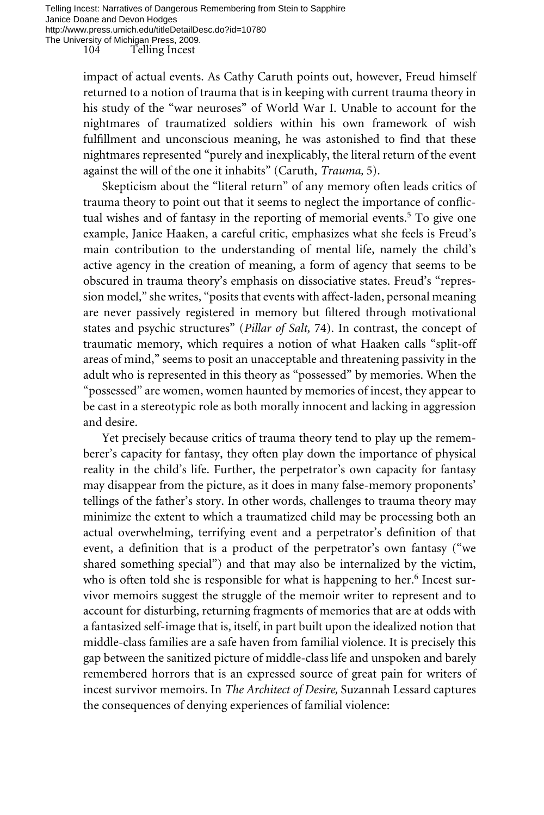impact of actual events. As Cathy Caruth points out, however, Freud himself returned to a notion of trauma that is in keeping with current trauma theory in his study of the "war neuroses" of World War I. Unable to account for the nightmares of traumatized soldiers within his own framework of wish fulfillment and unconscious meaning, he was astonished to find that these nightmares represented "purely and inexplicably, the literal return of the event against the will of the one it inhabits" (Caruth, *Trauma,* 5).

Skepticism about the "literal return" of any memory often leads critics of trauma theory to point out that it seems to neglect the importance of conflictual wishes and of fantasy in the reporting of memorial events.<sup>5</sup> To give one example, Janice Haaken, a careful critic, emphasizes what she feels is Freud's main contribution to the understanding of mental life, namely the child's active agency in the creation of meaning, a form of agency that seems to be obscured in trauma theory's emphasis on dissociative states. Freud's "repression model," she writes, "posits that events with affect-laden, personal meaning are never passively registered in memory but filtered through motivational states and psychic structures" (*Pillar of Salt,* 74). In contrast, the concept of traumatic memory, which requires a notion of what Haaken calls "split-off areas of mind," seems to posit an unacceptable and threatening passivity in the adult who is represented in this theory as "possessed" by memories. When the "possessed" are women, women haunted by memories of incest, they appear to be cast in a stereotypic role as both morally innocent and lacking in aggression and desire.

Yet precisely because critics of trauma theory tend to play up the rememberer's capacity for fantasy, they often play down the importance of physical reality in the child's life. Further, the perpetrator's own capacity for fantasy may disappear from the picture, as it does in many false-memory proponents' tellings of the father's story. In other words, challenges to trauma theory may minimize the extent to which a traumatized child may be processing both an actual overwhelming, terrifying event and a perpetrator's definition of that event, a definition that is a product of the perpetrator's own fantasy ("we shared something special") and that may also be internalized by the victim, who is often told she is responsible for what is happening to her.<sup>6</sup> Incest survivor memoirs suggest the struggle of the memoir writer to represent and to account for disturbing, returning fragments of memories that are at odds with a fantasized self-image that is, itself, in part built upon the idealized notion that middle-class families are a safe haven from familial violence. It is precisely this gap between the sanitized picture of middle-class life and unspoken and barely remembered horrors that is an expressed source of great pain for writers of incest survivor memoirs. In *The Architect of Desire,* Suzannah Lessard captures the consequences of denying experiences of familial violence: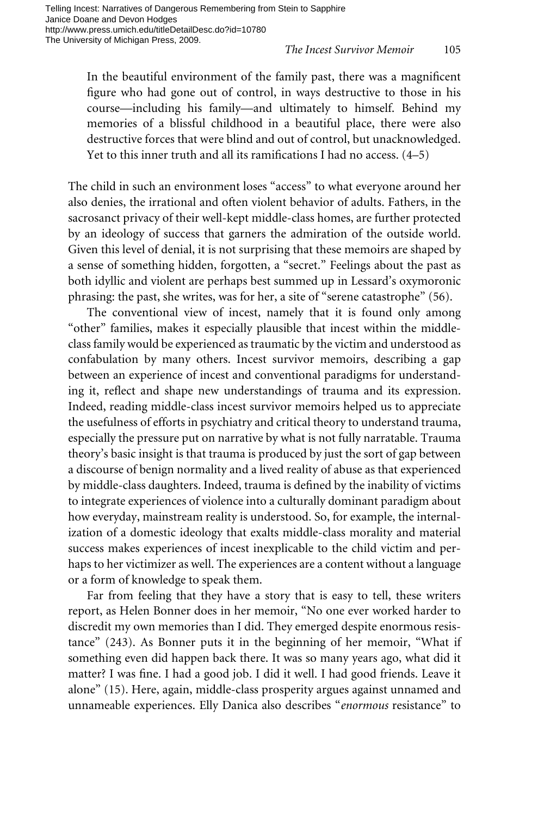In the beautiful environment of the family past, there was a magnificent figure who had gone out of control, in ways destructive to those in his course—including his family—and ultimately to himself. Behind my memories of a blissful childhood in a beautiful place, there were also destructive forces that were blind and out of control, but unacknowledged. Yet to this inner truth and all its ramifications I had no access.  $(4-5)$ 

The child in such an environment loses "access" to what everyone around her also denies, the irrational and often violent behavior of adults. Fathers, in the sacrosanct privacy of their well-kept middle-class homes, are further protected by an ideology of success that garners the admiration of the outside world. Given this level of denial, it is not surprising that these memoirs are shaped by a sense of something hidden, forgotten, a "secret." Feelings about the past as both idyllic and violent are perhaps best summed up in Lessard's oxymoronic phrasing: the past, she writes, was for her, a site of "serene catastrophe" (56).

The conventional view of incest, namely that it is found only among "other" families, makes it especially plausible that incest within the middleclass family would be experienced as traumatic by the victim and understood as confabulation by many others. Incest survivor memoirs, describing a gap between an experience of incest and conventional paradigms for understanding it, reflect and shape new understandings of trauma and its expression. Indeed, reading middle-class incest survivor memoirs helped us to appreciate the usefulness of efforts in psychiatry and critical theory to understand trauma, especially the pressure put on narrative by what is not fully narratable. Trauma theory's basic insight is that trauma is produced by just the sort of gap between a discourse of benign normality and a lived reality of abuse as that experienced by middle-class daughters. Indeed, trauma is defined by the inability of victims to integrate experiences of violence into a culturally dominant paradigm about how everyday, mainstream reality is understood. So, for example, the internalization of a domestic ideology that exalts middle-class morality and material success makes experiences of incest inexplicable to the child victim and perhaps to her victimizer as well. The experiences are a content without a language or a form of knowledge to speak them.

Far from feeling that they have a story that is easy to tell, these writers report, as Helen Bonner does in her memoir, "No one ever worked harder to discredit my own memories than I did. They emerged despite enormous resistance" (243). As Bonner puts it in the beginning of her memoir, "What if something even did happen back there. It was so many years ago, what did it matter? I was fine. I had a good job. I did it well. I had good friends. Leave it alone" (15). Here, again, middle-class prosperity argues against unnamed and unnameable experiences. Elly Danica also describes "*enormous* resistance" to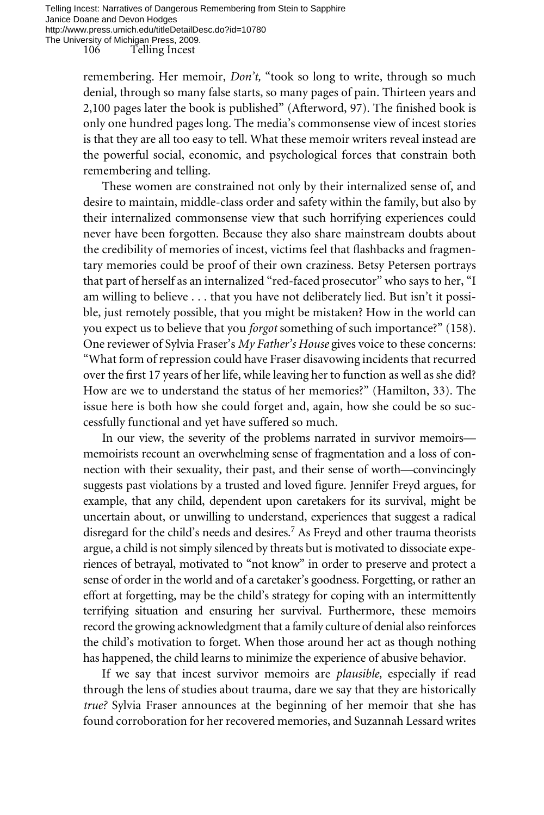remembering. Her memoir, *Don't,* "took so long to write, through so much denial, through so many false starts, so many pages of pain. Thirteen years and 2,100 pages later the book is published" (Afterword, 97). The finished book is only one hundred pages long. The media's commonsense view of incest stories is that they are all too easy to tell. What these memoir writers reveal instead are the powerful social, economic, and psychological forces that constrain both remembering and telling.

These women are constrained not only by their internalized sense of, and desire to maintain, middle-class order and safety within the family, but also by their internalized commonsense view that such horrifying experiences could never have been forgotten. Because they also share mainstream doubts about the credibility of memories of incest, victims feel that flashbacks and fragmentary memories could be proof of their own craziness. Betsy Petersen portrays that part of herself as an internalized "red-faced prosecutor" who says to her, "I am willing to believe . . . that you have not deliberately lied. But isn't it possible, just remotely possible, that you might be mistaken? How in the world can you expect us to believe that you *forgot* something of such importance?" (158). One reviewer of Sylvia Fraser's *My Father's House* gives voice to these concerns: "What form of repression could have Fraser disavowing incidents that recurred over the first 17 years of her life, while leaving her to function as well as she did? How are we to understand the status of her memories?" (Hamilton, 33). The issue here is both how she could forget and, again, how she could be so successfully functional and yet have suffered so much.

In our view, the severity of the problems narrated in survivor memoirs memoirists recount an overwhelming sense of fragmentation and a loss of connection with their sexuality, their past, and their sense of worth—convincingly suggests past violations by a trusted and loved figure. Jennifer Freyd argues, for example, that any child, dependent upon caretakers for its survival, might be uncertain about, or unwilling to understand, experiences that suggest a radical disregard for the child's needs and desires.<sup>7</sup> As Freyd and other trauma theorists argue, a child is not simply silenced by threats but is motivated to dissociate experiences of betrayal, motivated to "not know" in order to preserve and protect a sense of order in the world and of a caretaker's goodness. Forgetting, or rather an effort at forgetting, may be the child's strategy for coping with an intermittently terrifying situation and ensuring her survival. Furthermore, these memoirs record the growing acknowledgment that a family culture of denial also reinforces the child's motivation to forget. When those around her act as though nothing has happened, the child learns to minimize the experience of abusive behavior.

If we say that incest survivor memoirs are *plausible,* especially if read through the lens of studies about trauma, dare we say that they are historically *true?* Sylvia Fraser announces at the beginning of her memoir that she has found corroboration for her recovered memories, and Suzannah Lessard writes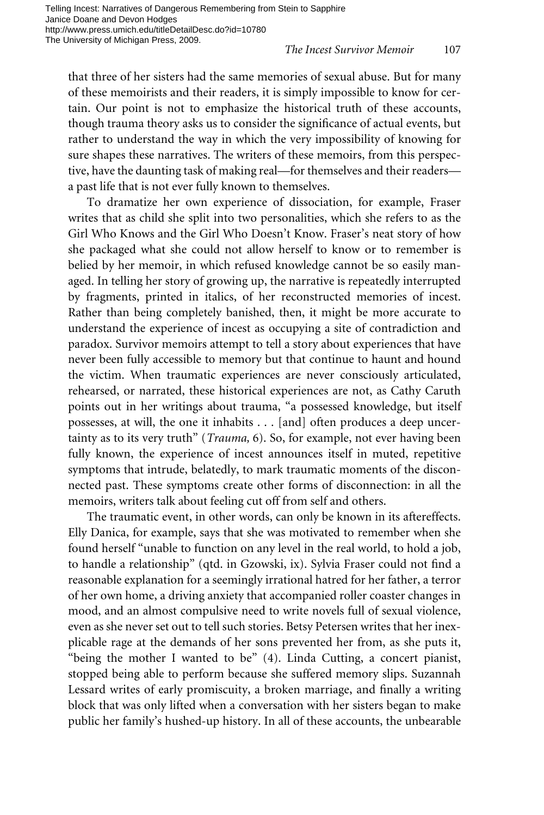that three of her sisters had the same memories of sexual abuse. But for many of these memoirists and their readers, it is simply impossible to know for certain. Our point is not to emphasize the historical truth of these accounts, though trauma theory asks us to consider the significance of actual events, but rather to understand the way in which the very impossibility of knowing for sure shapes these narratives. The writers of these memoirs, from this perspective, have the daunting task of making real—for themselves and their readers a past life that is not ever fully known to themselves.

To dramatize her own experience of dissociation, for example, Fraser writes that as child she split into two personalities, which she refers to as the Girl Who Knows and the Girl Who Doesn't Know. Fraser's neat story of how she packaged what she could not allow herself to know or to remember is belied by her memoir, in which refused knowledge cannot be so easily managed. In telling her story of growing up, the narrative is repeatedly interrupted by fragments, printed in italics, of her reconstructed memories of incest. Rather than being completely banished, then, it might be more accurate to understand the experience of incest as occupying a site of contradiction and paradox. Survivor memoirs attempt to tell a story about experiences that have never been fully accessible to memory but that continue to haunt and hound the victim. When traumatic experiences are never consciously articulated, rehearsed, or narrated, these historical experiences are not, as Cathy Caruth points out in her writings about trauma, "a possessed knowledge, but itself possesses, at will, the one it inhabits . . . [and] often produces a deep uncertainty as to its very truth" (*Trauma,* 6). So, for example, not ever having been fully known, the experience of incest announces itself in muted, repetitive symptoms that intrude, belatedly, to mark traumatic moments of the disconnected past. These symptoms create other forms of disconnection: in all the memoirs, writers talk about feeling cut off from self and others.

The traumatic event, in other words, can only be known in its aftereffects. Elly Danica, for example, says that she was motivated to remember when she found herself "unable to function on any level in the real world, to hold a job, to handle a relationship" (qtd. in Gzowski, ix). Sylvia Fraser could not find a reasonable explanation for a seemingly irrational hatred for her father, a terror of her own home, a driving anxiety that accompanied roller coaster changes in mood, and an almost compulsive need to write novels full of sexual violence, even as she never set out to tell such stories. Betsy Petersen writes that her inexplicable rage at the demands of her sons prevented her from, as she puts it, "being the mother I wanted to be" (4). Linda Cutting, a concert pianist, stopped being able to perform because she suffered memory slips. Suzannah Lessard writes of early promiscuity, a broken marriage, and finally a writing block that was only lifted when a conversation with her sisters began to make public her family's hushed-up history. In all of these accounts, the unbearable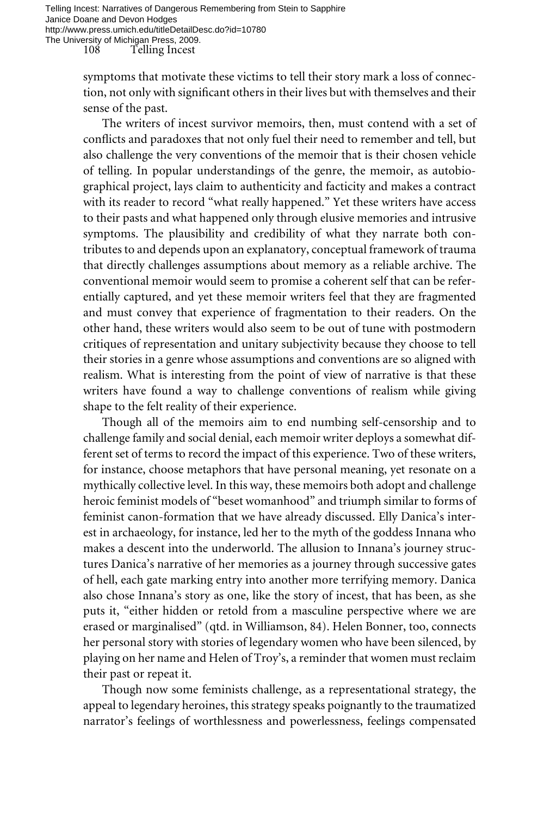symptoms that motivate these victims to tell their story mark a loss of connection, not only with significant others in their lives but with themselves and their sense of the past.

The writers of incest survivor memoirs, then, must contend with a set of conflicts and paradoxes that not only fuel their need to remember and tell, but also challenge the very conventions of the memoir that is their chosen vehicle of telling. In popular understandings of the genre, the memoir, as autobiographical project, lays claim to authenticity and facticity and makes a contract with its reader to record "what really happened." Yet these writers have access to their pasts and what happened only through elusive memories and intrusive symptoms. The plausibility and credibility of what they narrate both contributes to and depends upon an explanatory, conceptual framework of trauma that directly challenges assumptions about memory as a reliable archive. The conventional memoir would seem to promise a coherent self that can be referentially captured, and yet these memoir writers feel that they are fragmented and must convey that experience of fragmentation to their readers. On the other hand, these writers would also seem to be out of tune with postmodern critiques of representation and unitary subjectivity because they choose to tell their stories in a genre whose assumptions and conventions are so aligned with realism. What is interesting from the point of view of narrative is that these writers have found a way to challenge conventions of realism while giving shape to the felt reality of their experience.

Though all of the memoirs aim to end numbing self-censorship and to challenge family and social denial, each memoir writer deploys a somewhat different set of terms to record the impact of this experience. Two of these writers, for instance, choose metaphors that have personal meaning, yet resonate on a mythically collective level. In this way, these memoirs both adopt and challenge heroic feminist models of "beset womanhood" and triumph similar to forms of feminist canon-formation that we have already discussed. Elly Danica's interest in archaeology, for instance, led her to the myth of the goddess Innana who makes a descent into the underworld. The allusion to Innana's journey structures Danica's narrative of her memories as a journey through successive gates of hell, each gate marking entry into another more terrifying memory. Danica also chose Innana's story as one, like the story of incest, that has been, as she puts it, "either hidden or retold from a masculine perspective where we are erased or marginalised" (qtd. in Williamson, 84). Helen Bonner, too, connects her personal story with stories of legendary women who have been silenced, by playing on her name and Helen of Troy's, a reminder that women must reclaim their past or repeat it.

Though now some feminists challenge, as a representational strategy, the appeal to legendary heroines, this strategy speaks poignantly to the traumatized narrator's feelings of worthlessness and powerlessness, feelings compensated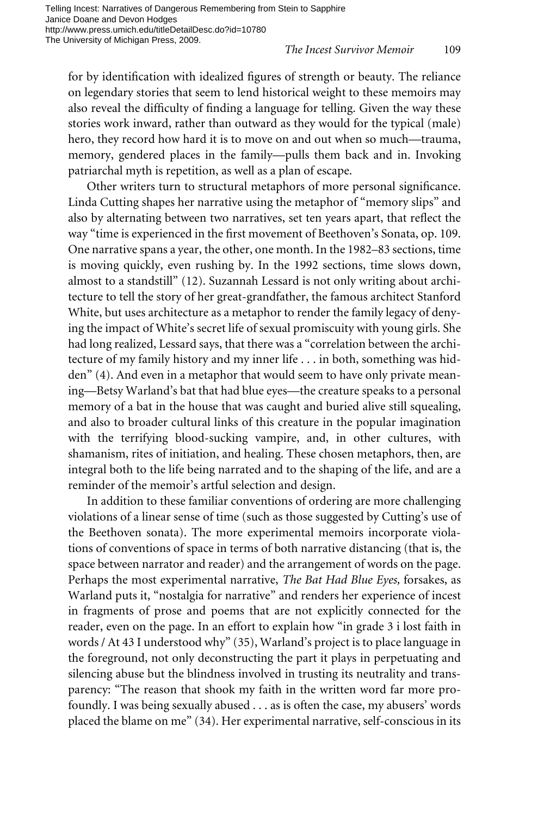for by identification with idealized figures of strength or beauty. The reliance on legendary stories that seem to lend historical weight to these memoirs may also reveal the difficulty of finding a language for telling. Given the way these stories work inward, rather than outward as they would for the typical (male) hero, they record how hard it is to move on and out when so much—trauma, memory, gendered places in the family—pulls them back and in. Invoking patriarchal myth is repetition, as well as a plan of escape.

Other writers turn to structural metaphors of more personal significance. Linda Cutting shapes her narrative using the metaphor of "memory slips" and also by alternating between two narratives, set ten years apart, that reflect the way "time is experienced in the first movement of Beethoven's Sonata, op. 109. One narrative spans a year, the other, one month. In the 1982–83 sections, time is moving quickly, even rushing by. In the 1992 sections, time slows down, almost to a standstill" (12). Suzannah Lessard is not only writing about architecture to tell the story of her great-grandfather, the famous architect Stanford White, but uses architecture as a metaphor to render the family legacy of denying the impact of White's secret life of sexual promiscuity with young girls. She had long realized, Lessard says, that there was a "correlation between the architecture of my family history and my inner life . . . in both, something was hidden" (4). And even in a metaphor that would seem to have only private meaning—Betsy Warland's bat that had blue eyes—the creature speaks to a personal memory of a bat in the house that was caught and buried alive still squealing, and also to broader cultural links of this creature in the popular imagination with the terrifying blood-sucking vampire, and, in other cultures, with shamanism, rites of initiation, and healing. These chosen metaphors, then, are integral both to the life being narrated and to the shaping of the life, and are a reminder of the memoir's artful selection and design.

In addition to these familiar conventions of ordering are more challenging violations of a linear sense of time (such as those suggested by Cutting's use of the Beethoven sonata). The more experimental memoirs incorporate violations of conventions of space in terms of both narrative distancing (that is, the space between narrator and reader) and the arrangement of words on the page. Perhaps the most experimental narrative, *The Bat Had Blue Eyes,* forsakes, as Warland puts it, "nostalgia for narrative" and renders her experience of incest in fragments of prose and poems that are not explicitly connected for the reader, even on the page. In an effort to explain how "in grade 3 i lost faith in words / At 43 I understood why" (35), Warland's project is to place language in the foreground, not only deconstructing the part it plays in perpetuating and silencing abuse but the blindness involved in trusting its neutrality and transparency: "The reason that shook my faith in the written word far more profoundly. I was being sexually abused . . . as is often the case, my abusers' words placed the blame on me" (34). Her experimental narrative, self-conscious in its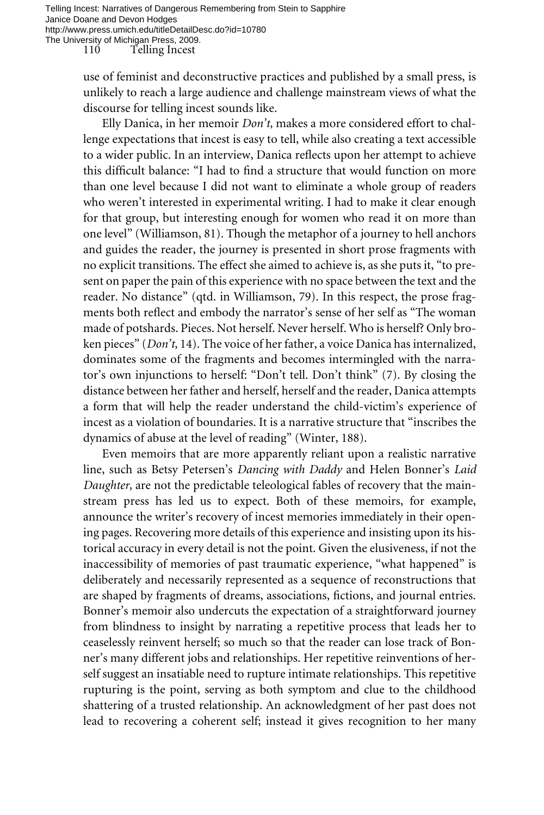use of feminist and deconstructive practices and published by a small press, is unlikely to reach a large audience and challenge mainstream views of what the discourse for telling incest sounds like.

Elly Danica, in her memoir *Don't,* makes a more considered effort to challenge expectations that incest is easy to tell, while also creating a text accessible to a wider public. In an interview, Danica reflects upon her attempt to achieve this difficult balance: "I had to find a structure that would function on more than one level because I did not want to eliminate a whole group of readers who weren't interested in experimental writing. I had to make it clear enough for that group, but interesting enough for women who read it on more than one level" (Williamson, 81). Though the metaphor of a journey to hell anchors and guides the reader, the journey is presented in short prose fragments with no explicit transitions. The effect she aimed to achieve is, as she puts it, "to present on paper the pain of this experience with no space between the text and the reader. No distance" (qtd. in Williamson, 79). In this respect, the prose fragments both reflect and embody the narrator's sense of her self as "The woman made of potshards. Pieces. Not herself. Never herself. Who is herself? Only broken pieces" (*Don't,* 14). The voice of her father, a voice Danica has internalized, dominates some of the fragments and becomes intermingled with the narrator's own injunctions to herself: "Don't tell. Don't think" (7). By closing the distance between her father and herself, herself and the reader, Danica attempts a form that will help the reader understand the child-victim's experience of incest as a violation of boundaries. It is a narrative structure that "inscribes the dynamics of abuse at the level of reading" (Winter, 188).

Even memoirs that are more apparently reliant upon a realistic narrative line, such as Betsy Petersen's *Dancing with Daddy* and Helen Bonner's *Laid Daughter,* are not the predictable teleological fables of recovery that the mainstream press has led us to expect. Both of these memoirs, for example, announce the writer's recovery of incest memories immediately in their opening pages. Recovering more details of this experience and insisting upon its historical accuracy in every detail is not the point. Given the elusiveness, if not the inaccessibility of memories of past traumatic experience, "what happened" is deliberately and necessarily represented as a sequence of reconstructions that are shaped by fragments of dreams, associations, fictions, and journal entries. Bonner's memoir also undercuts the expectation of a straightforward journey from blindness to insight by narrating a repetitive process that leads her to ceaselessly reinvent herself; so much so that the reader can lose track of Bonner's many different jobs and relationships. Her repetitive reinventions of herself suggest an insatiable need to rupture intimate relationships. This repetitive rupturing is the point, serving as both symptom and clue to the childhood shattering of a trusted relationship. An acknowledgment of her past does not lead to recovering a coherent self; instead it gives recognition to her many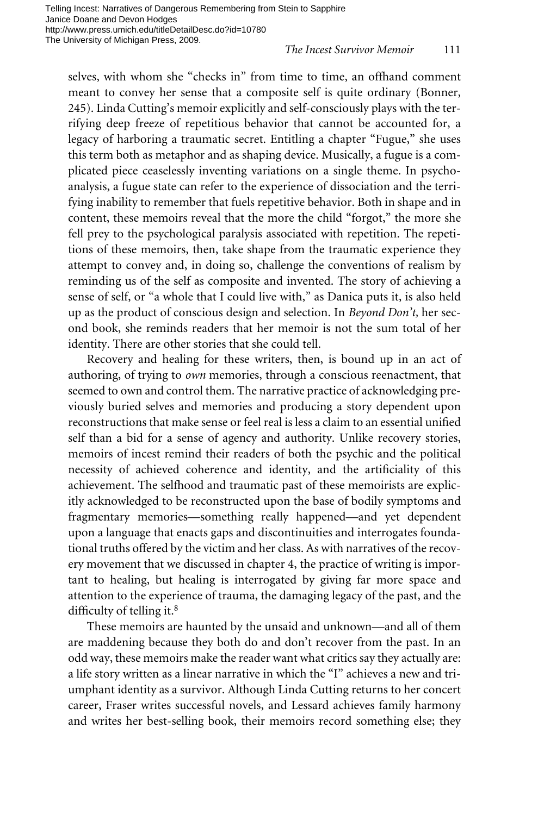Telling Incest: Narratives of Dangerous Remembering from Stein to Sapphire Janice Doane and Devon Hodges http://www.press.umich.edu/titleDetailDesc.do?id=10780 The University of Michigan Press, 2009.

## *The Incest Survivor Memoir* 111

selves, with whom she "checks in" from time to time, an offhand comment meant to convey her sense that a composite self is quite ordinary (Bonner, 245). Linda Cutting's memoir explicitly and self-consciously plays with the terrifying deep freeze of repetitious behavior that cannot be accounted for, a legacy of harboring a traumatic secret. Entitling a chapter "Fugue," she uses this term both as metaphor and as shaping device. Musically, a fugue is a complicated piece ceaselessly inventing variations on a single theme. In psychoanalysis, a fugue state can refer to the experience of dissociation and the terrifying inability to remember that fuels repetitive behavior. Both in shape and in content, these memoirs reveal that the more the child "forgot," the more she fell prey to the psychological paralysis associated with repetition. The repetitions of these memoirs, then, take shape from the traumatic experience they attempt to convey and, in doing so, challenge the conventions of realism by reminding us of the self as composite and invented. The story of achieving a sense of self, or "a whole that I could live with," as Danica puts it, is also held up as the product of conscious design and selection. In *Beyond Don't,* her second book, she reminds readers that her memoir is not the sum total of her identity. There are other stories that she could tell.

Recovery and healing for these writers, then, is bound up in an act of authoring, of trying to *own* memories, through a conscious reenactment, that seemed to own and control them. The narrative practice of acknowledging previously buried selves and memories and producing a story dependent upon reconstructions that make sense or feel real is less a claim to an essential unified self than a bid for a sense of agency and authority. Unlike recovery stories, memoirs of incest remind their readers of both the psychic and the political necessity of achieved coherence and identity, and the artificiality of this achievement. The selfhood and traumatic past of these memoirists are explicitly acknowledged to be reconstructed upon the base of bodily symptoms and fragmentary memories—something really happened—and yet dependent upon a language that enacts gaps and discontinuities and interrogates foundational truths offered by the victim and her class. As with narratives of the recovery movement that we discussed in chapter 4, the practice of writing is important to healing, but healing is interrogated by giving far more space and attention to the experience of trauma, the damaging legacy of the past, and the difficulty of telling it. $8$ 

These memoirs are haunted by the unsaid and unknown—and all of them are maddening because they both do and don't recover from the past. In an odd way, these memoirs make the reader want what critics say they actually are: a life story written as a linear narrative in which the "I" achieves a new and triumphant identity as a survivor. Although Linda Cutting returns to her concert career, Fraser writes successful novels, and Lessard achieves family harmony and writes her best-selling book, their memoirs record something else; they